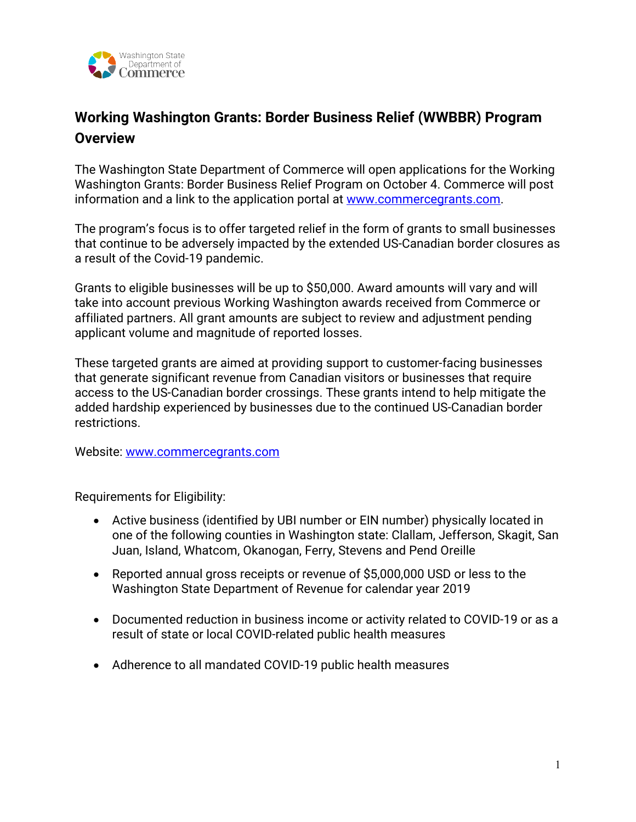

# **Working Washington Grants: Border Business Relief (WWBBR) Program Overview**

The Washington State Department of Commerce will open applications for the Working Washington Grants: Border Business Relief Program on October 4. Commerce will post information and a link to the application portal at [www.commercegrants.com.](http://www.commercegrants.com/)

The program's focus is to offer targeted relief in the form of grants to small businesses that continue to be adversely impacted by the extended US-Canadian border closures as a result of the Covid-19 pandemic.

Grants to eligible businesses will be up to \$50,000. Award amounts will vary and will take into account previous Working Washington awards received from Commerce or affiliated partners. All grant amounts are subject to review and adjustment pending applicant volume and magnitude of reported losses.

These targeted grants are aimed at providing support to customer-facing businesses that generate significant revenue from Canadian visitors or businesses that require access to the US-Canadian border crossings. These grants intend to help mitigate the added hardship experienced by businesses due to the continued US-Canadian border restrictions.

Website: [www.commercegrants.com](http://www.commercegrants.com/) 

Requirements for Eligibility:

- Active business (identified by UBI number or EIN number) physically located in one of the following counties in Washington state: Clallam, Jefferson, Skagit, San Juan, Island, Whatcom, Okanogan, Ferry, Stevens and Pend Oreille
- Reported annual gross receipts or revenue of \$5,000,000 USD or less to the Washington State Department of Revenue for calendar year 2019
- Documented reduction in business income or activity related to COVID-19 or as a result of state or local COVID-related public health measures
- Adherence to all mandated COVID-19 public health measures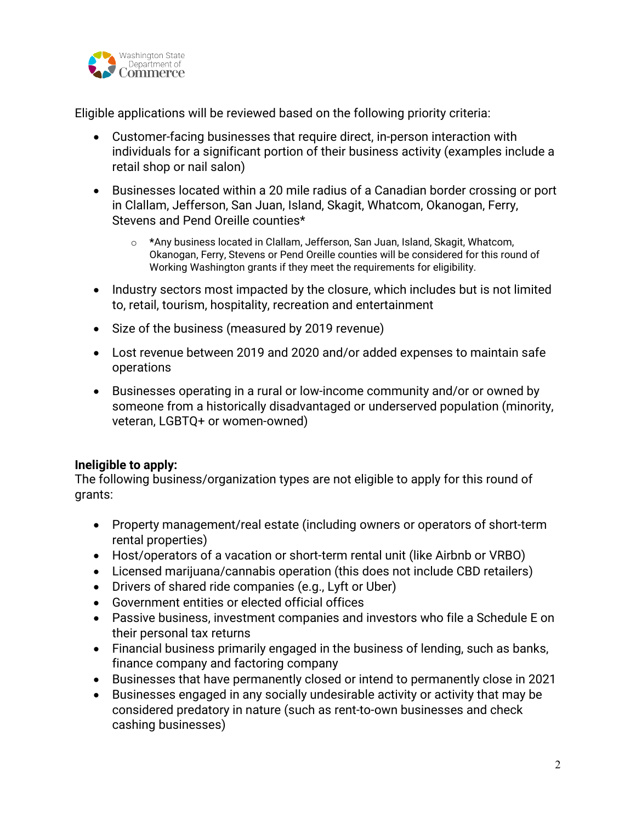

Eligible applications will be reviewed based on the following priority criteria:

- Customer-facing businesses that require direct, in-person interaction with individuals for a significant portion of their business activity (examples include a retail shop or nail salon)
- Businesses located within a 20 mile radius of a Canadian border crossing or port in Clallam, Jefferson, San Juan, Island, Skagit, Whatcom, Okanogan, Ferry, Stevens and Pend Oreille counties\*
	- o **\***Any business located in Clallam, Jefferson, San Juan, Island, Skagit, Whatcom, Okanogan, Ferry, Stevens or Pend Oreille counties will be considered for this round of Working Washington grants if they meet the requirements for eligibility.
- Industry sectors most impacted by the closure, which includes but is not limited to, retail, tourism, hospitality, recreation and entertainment
- Size of the business (measured by 2019 revenue)
- Lost revenue between 2019 and 2020 and/or added expenses to maintain safe operations
- Businesses operating in a rural or low-income community and/or or owned by someone from a historically disadvantaged or underserved population (minority, veteran, LGBTQ+ or women-owned)

### **Ineligible to apply:**

The following business/organization types are not eligible to apply for this round of grants:

- Property management/real estate (including owners or operators of short-term rental properties)
- Host/operators of a vacation or short-term rental unit (like Airbnb or VRBO)
- Licensed marijuana/cannabis operation (this does not include CBD retailers)
- Drivers of shared ride companies (e.g., Lyft or Uber)
- Government entities or elected official offices
- Passive business, investment companies and investors who file a Schedule E on their personal tax returns
- Financial business primarily engaged in the business of lending, such as banks, finance company and factoring company
- Businesses that have permanently closed or intend to permanently close in 2021
- Businesses engaged in any socially undesirable activity or activity that may be considered predatory in nature (such as rent-to-own businesses and check cashing businesses)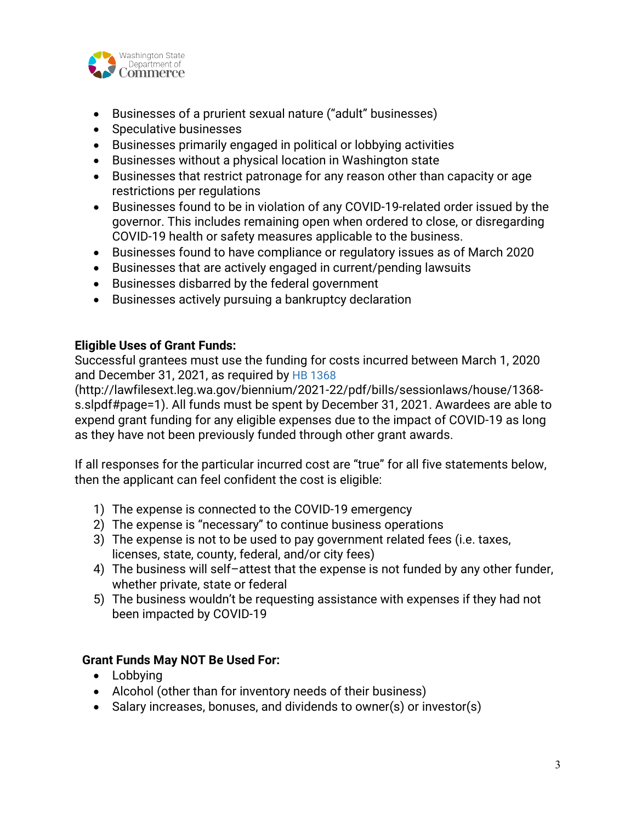

- Businesses of a prurient sexual nature ("adult" businesses)
- Speculative businesses
- Businesses primarily engaged in political or lobbying activities
- Businesses without a physical location in Washington state
- Businesses that restrict patronage for any reason other than capacity or age restrictions per regulations
- Businesses found to be in violation of any COVID-19-related order issued by the governor. This includes remaining open when ordered to close, or disregarding COVID-19 health or safety measures applicable to the business.
- Businesses found to have compliance or regulatory issues as of March 2020
- Businesses that are actively engaged in current/pending lawsuits
- Businesses disbarred by the federal government
- Businesses actively pursuing a bankruptcy declaration

## **Eligible Uses of Grant Funds:**

Successful grantees must use the funding for costs incurred between March 1, 2020 and December 31, 2021, as required by [HB 1368](http://lawfilesext.leg.wa.gov/biennium/2021-22/Pdf/Bills/Session%20Laws/House/1368-S.SL.pdf#page=1)

(http://lawfilesext.leg.wa.gov/biennium/2021-22/pdf/bills/sessionlaws/house/1368 s.slpdf#page=1). All funds must be spent by December 31, 2021. Awardees are able to expend grant funding for any eligible expenses due to the impact of COVID-19 as long as they have not been previously funded through other grant awards.

If all responses for the particular incurred cost are "true" for all five statements below, then the applicant can feel confident the cost is eligible:

- 1) The expense is connected to the COVID-19 emergency
- 2) The expense is "necessary" to continue business operations
- 3) The expense is not to be used to pay government related fees (i.e. taxes, licenses, state, county, federal, and/or city fees)
- 4) The business will self–attest that the expense is not funded by any other funder, whether private, state or federal
- 5) The business wouldn't be requesting assistance with expenses if they had not been impacted by COVID-19

## **Grant Funds May NOT Be Used For:**

- Lobbying
- Alcohol (other than for inventory needs of their business)
- Salary increases, bonuses, and dividends to owner(s) or investor(s)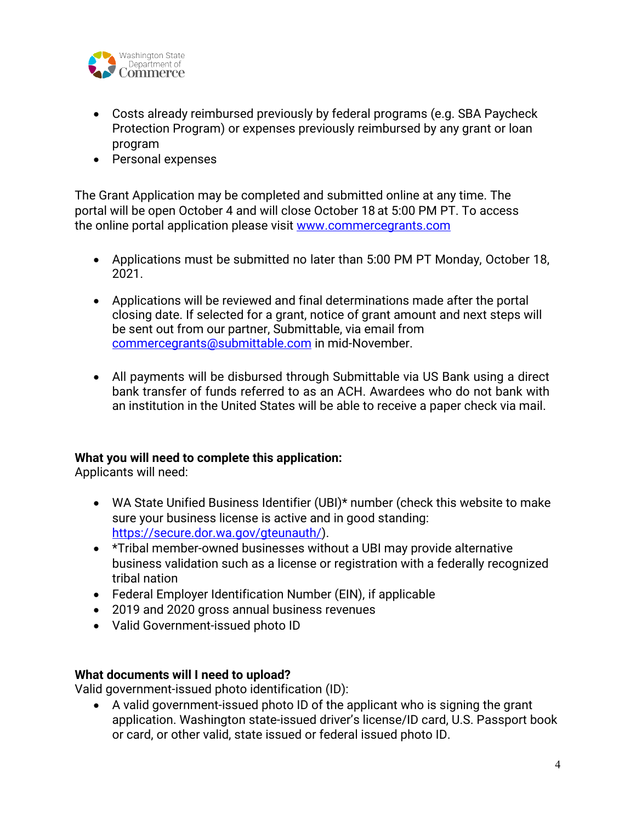

- Costs already reimbursed previously by federal programs (e.g. SBA Paycheck Protection Program) or expenses previously reimbursed by any grant or loan program
- Personal expenses

The Grant Application may be completed and submitted online at any time. The portal will be open October 4 and will close October 18 at 5:00 PM PT. To access the online portal application please visit [www.commercegrants.com](http://www.commercegrants.com/) 

- Applications must be submitted no later than 5:00 PM PT Monday, October 18, 2021.
- Applications will be reviewed and final determinations made after the portal closing date. If selected for a grant, notice of grant amount and next steps will be sent out from our partner, Submittable, via email from [commercegrants@submittable.com](mailto:commercegrants@submittable.com) in mid-November.
- All payments will be disbursed through Submittable via US Bank using a direct bank transfer of funds referred to as an ACH. Awardees who do not bank with an institution in the United States will be able to receive a paper check via mail.

### **What you will need to complete this application:**

Applicants will need:

- WA State Unified Business Identifier (UBI)\* number [\(check this website](https://secure.dor.wa.gov/gteunauth/_/) to make sure your business license is active and in good standing: [https://secure.dor.wa.gov/gteunauth/\)](https://secure.dor.wa.gov/gteunauth/).
- \*Tribal member-owned businesses without a UBI may provide alternative business validation such as a license or registration with a federally recognized tribal nation
- Federal Employer Identification Number (EIN), if applicable
- 2019 and 2020 gross annual business revenues
- Valid Government-issued photo ID

### **What documents will I need to upload?**

Valid government-issued photo identification (ID):

 A valid government-issued photo ID of the applicant who is signing the grant application. Washington state-issued driver's license/ID card, U.S. Passport book or card, or other valid, state issued or federal issued photo ID.